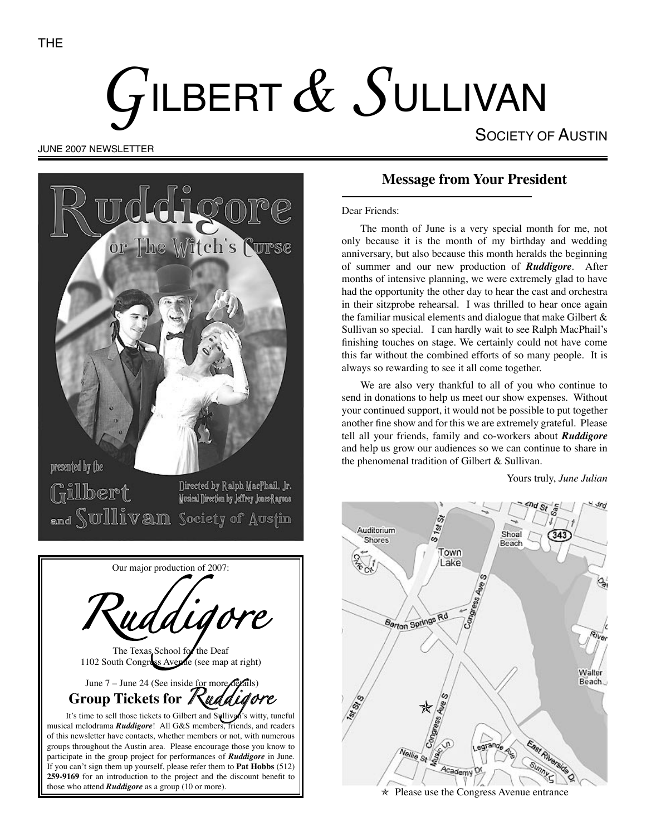# GILBERT  $\&$  SULLIVAN

SOCIETY OF AUSTIN

#### JUNE 2007 NEWSLETTER



The Texas School for the Deaf 1102 South Congress Avenue (see map at right)

June 7 – June 24 (See inside for more detail **Group Tickets for Kuddig** 

those who attend *Ruddigore* as a group (10 or more).

It's time to sell those tickets to Gilbert and Sullivan's witty, tuneful musical melodrama *Ruddigore*! All G&S members, friends, and readers of this newsletter have contacts, whether members or not, with numerous groups throughout the Austin area. Please encourage those you know to participate in the group project for performances of *Ruddigore* in June. If you can't sign them up yourself, please refer them to **Pat Hobbs** (512) **259-9169** for an introduction to the project and the discount benefit to

# **Message from Your President**

Dear Friends:

The month of June is a very special month for me, not only because it is the month of my birthday and wedding anniversary, but also because this month heralds the beginning of summer and our new production of *Ruddigore*. After months of intensive planning, we were extremely glad to have had the opportunity the other day to hear the cast and orchestra in their sitzprobe rehearsal. I was thrilled to hear once again the familiar musical elements and dialogue that make Gilbert & Sullivan so special. I can hardly wait to see Ralph MacPhail's finishing touches on stage. We certainly could not have come this far without the combined efforts of so many people. It is always so rewarding to see it all come together.

We are also very thankful to all of you who continue to send in donations to help us meet our show expenses. Without your continued support, it would not be possible to put together another fine show and for this we are extremely grateful. Please tell all your friends, family and co-workers about *Ruddigore*  and help us grow our audiences so we can continue to share in the phenomenal tradition of Gilbert & Sullivan.

Yours truly, *June Julian*

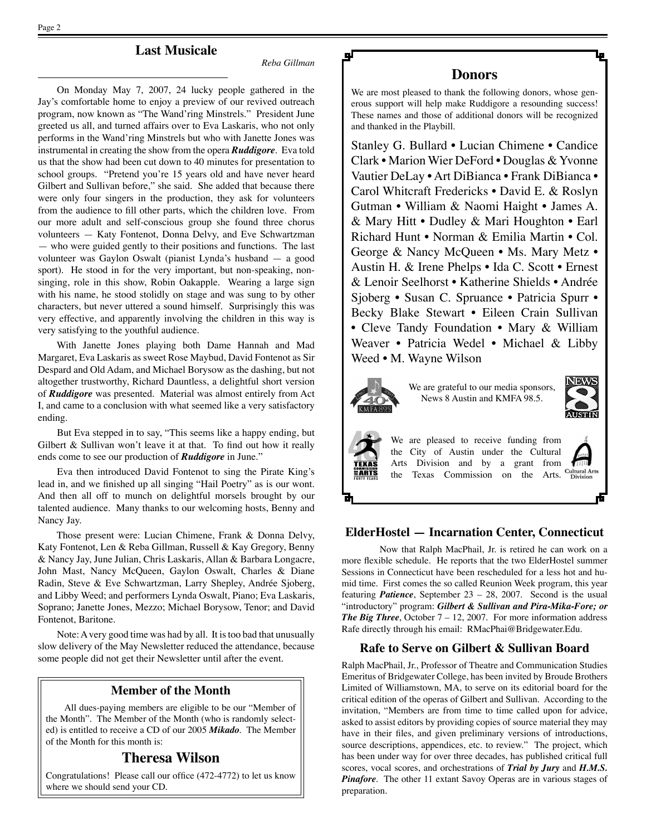Page 2

### **Last Musicale**

*Reba Gillman*

On Monday May 7, 2007, 24 lucky people gathered in the Jay's comfortable home to enjoy a preview of our revived outreach program, now known as "The Wand'ring Minstrels." President June greeted us all, and turned affairs over to Eva Laskaris, who not only performs in the Wand'ring Minstrels but who with Janette Jones was instrumental in creating the show from the opera *Ruddigore*. Eva told us that the show had been cut down to 40 minutes for presentation to school groups. "Pretend you're 15 years old and have never heard Gilbert and Sullivan before," she said. She added that because there were only four singers in the production, they ask for volunteers from the audience to fill other parts, which the children love. From our more adult and self-conscious group she found three chorus volunteers — Katy Fontenot, Donna Delvy, and Eve Schwartzman — who were guided gently to their positions and functions. The last volunteer was Gaylon Oswalt (pianist Lynda's husband — a good sport). He stood in for the very important, but non-speaking, nonsinging, role in this show, Robin Oakapple. Wearing a large sign with his name, he stood stolidly on stage and was sung to by other characters, but never uttered a sound himself. Surprisingly this was very effective, and apparently involving the children in this way is very satisfying to the youthful audience.

With Janette Jones playing both Dame Hannah and Mad Margaret, Eva Laskaris as sweet Rose Maybud, David Fontenot as Sir Despard and Old Adam, and Michael Borysow as the dashing, but not altogether trustworthy, Richard Dauntless, a delightful short version of *Ruddigore* was presented. Material was almost entirely from Act I, and came to a conclusion with what seemed like a very satisfactory ending.

But Eva stepped in to say, "This seems like a happy ending, but Gilbert & Sullivan won't leave it at that. To find out how it really ends come to see our production of *Ruddigore* in June."

Eva then introduced David Fontenot to sing the Pirate King's lead in, and we finished up all singing "Hail Poetry" as is our wont. And then all off to munch on delightful morsels brought by our talented audience. Many thanks to our welcoming hosts, Benny and Nancy Jay.

Those present were: Lucian Chimene, Frank & Donna Delvy, Katy Fontenot, Len & Reba Gillman, Russell & Kay Gregory, Benny & Nancy Jay, June Julian, Chris Laskaris, Allan & Barbara Longacre, John Mast, Nancy McQueen, Gaylon Oswalt, Charles & Diane Radin, Steve & Eve Schwartzman, Larry Shepley, Andrée Sjoberg, and Libby Weed; and performers Lynda Oswalt, Piano; Eva Laskaris, Soprano; Janette Jones, Mezzo; Michael Borysow, Tenor; and David Fontenot, Baritone.

Note: A very good time was had by all. It is too bad that unusually slow delivery of the May Newsletter reduced the attendance, because some people did not get their Newsletter until after the event.

#### **Member of the Month**

All dues-paying members are eligible to be our "Member of the Month". The Member of the Month (who is randomly selected) is entitled to receive a CD of our 2005 *Mikado*. The Member of the Month for this month is:

#### **Theresa Wilson**

Congratulations! Please call our office (472-4772) to let us know where we should send your CD.

#### **Donors**

We are most pleased to thank the following donors, whose generous support will help make Ruddigore a resounding success! These names and those of additional donors will be recognized and thanked in the Playbill.

Stanley G. Bullard • Lucian Chimene • Candice Clark • Marion Wier DeFord • Douglas & Yvonne Vautier DeLay • Art DiBianca • Frank DiBianca • Carol Whitcraft Fredericks • David E. & Roslyn Gutman • William & Naomi Haight • James A. & Mary Hitt • Dudley & Mari Houghton • Earl Richard Hunt • Norman & Emilia Martin • Col. George & Nancy McQueen • Ms. Mary Metz • Austin H. & Irene Phelps • Ida C. Scott • Ernest & Lenoir Seelhorst • Katherine Shields • Andrée Sjoberg • Susan C. Spruance • Patricia Spurr • Becky Blake Stewart • Eileen Crain Sullivan • Cleve Tandy Foundation • Mary & William Weaver • Patricia Wedel • Michael & Libby Weed • M. Wayne Wilson



We are grateful to our media sponsors, News 8 Austin and KMFA 98.5.





We are pleased to receive funding from the City of Austin under the Cultural Arts Division and by a grant from the Texas Commission on the Arts.

# **Cultural Arts**<br>Division

#### **ElderHostel — Incarnation Center, Connecticut**

Now that Ralph MacPhail, Jr. is retired he can work on a more flexible schedule. He reports that the two ElderHostel summer Sessions in Connecticut have been rescheduled for a less hot and humid time. First comes the so called Reunion Week program, this year featuring *Patience*, September 23 – 28, 2007. Second is the usual "introductory" program: *Gilbert & Sullivan and Pira-Mika-Fore; or The Big Three*, October 7 – 12, 2007. For more information address Rafe directly through his email: RMacPhai@Bridgewater.Edu.

#### **Rafe to Serve on Gilbert & Sullivan Board**

Ralph MacPhail, Jr., Professor of Theatre and Communication Studies Emeritus of Bridgewater College, has been invited by Broude Brothers Limited of Williamstown, MA, to serve on its editorial board for the critical edition of the operas of Gilbert and Sullivan. According to the invitation, "Members are from time to time called upon for advice, asked to assist editors by providing copies of source material they may have in their files, and given preliminary versions of introductions, source descriptions, appendices, etc. to review." The project, which has been under way for over three decades, has published critical full scores, vocal scores, and orchestrations of *Trial by Jury* and *H.M.S. Pinafore*. The other 11 extant Savoy Operas are in various stages of preparation.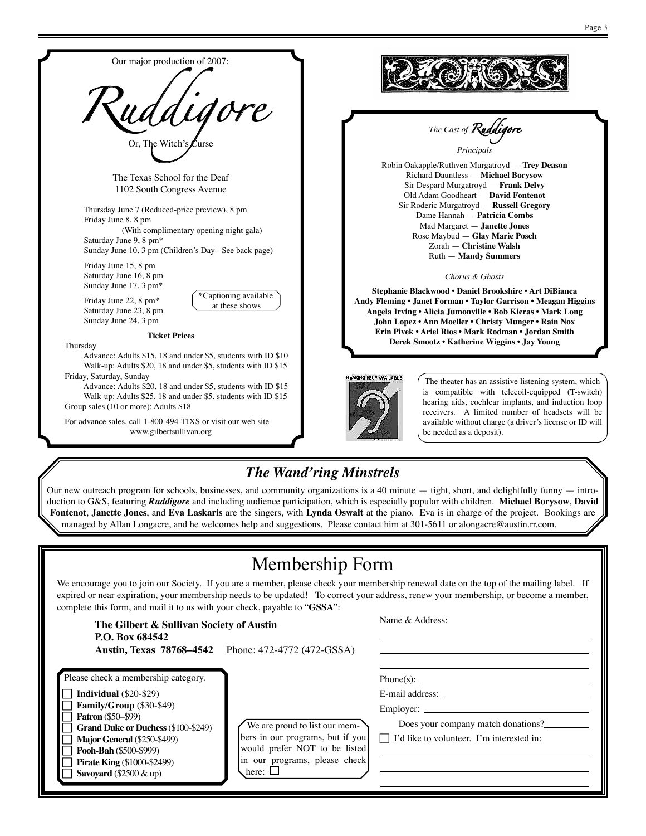

The theater has an assistive listening system, which is compatible with telecoil-equipped (T-switch) hearing aids, cochlear implants, and induction loop receivers. A limited number of headsets will be available without charge (a driver's license or ID will be needed as a deposit).

*The Cast of Ruddigore Principals*

Zorah — **Christine Walsh** Ruth — **Mandy Summers** *Chorus & Ghosts*

# *The Wand'ring Minstrels*

Our new outreach program for schools, businesses, and community organizations is a 40 minute  $-$  tight, short, and delightfully funny  $-$  introduction to G&S, featuring *Ruddigore* and including audience participation, which is especially popular with children. **Michael Borysow**, **David Fontenot**, **Janette Jones**, and **Eva Laskaris** are the singers, with **Lynda Oswalt** at the piano. Eva is in charge of the project. Bookings are managed by Allan Longacre, and he welcomes help and suggestions. Please contact him at 301-5611 or alongacre@austin.rr.com.

# Membership Form

We encourage you to join our Society. If you are a member, please check your membership renewal date on the top of the mailing label. If expired or near expiration, your membership needs to be updated! To correct your address, renew your membership, or become a member, complete this form, and mail it to us with your check, payable to "**GSSA**":

| The Gilbert & Sullivan Society of Austin<br>P.O. Box 684542                                                                                                                                                                                                                                     | <b>Austin, Texas 78768–4542</b> Phone: 472-4772 (472-GSSA)                                                                                          | Name & Address:                                                                                                                        |
|-------------------------------------------------------------------------------------------------------------------------------------------------------------------------------------------------------------------------------------------------------------------------------------------------|-----------------------------------------------------------------------------------------------------------------------------------------------------|----------------------------------------------------------------------------------------------------------------------------------------|
| Please check a membership category.<br>Individual $(\$20-\$29)$<br>Family/Group (\$30-\$49)<br><b>Patron</b> (\$50–\$99)<br><b>Grand Duke or Duchess (\$100-\$249)</b><br>Major General (\$250-\$499)<br>Pooh-Bah (\$500-\$999)<br><b>Pirate King (\$1000-\$2499)</b><br>Savoyard (\$2500 & up) | We are proud to list our mem-<br>bers in our programs, but if you<br>would prefer NOT to be listed<br>in our programs, please check<br>here: $\Box$ | $Phone(s)$ :<br>E-mail address:<br>Employer:<br>Does your company match donations?<br>$\Box$ I'd like to volunteer. I'm interested in: |